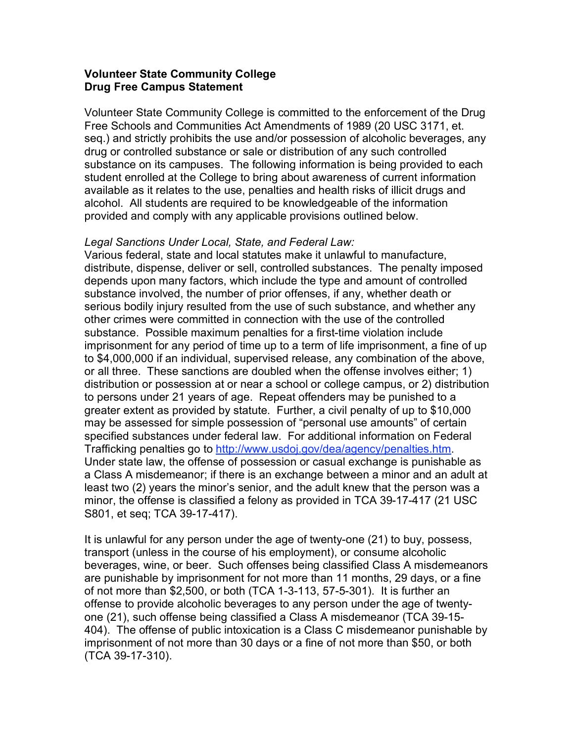## **Volunteer State Community College Drug Free Campus Statement**

Volunteer State Community College is committed to the enforcement of the Drug Free Schools and Communities Act Amendments of 1989 (20 USC 3171, et. seq.) and strictly prohibits the use and/or possession of alcoholic beverages, any drug or controlled substance or sale or distribution of any such controlled substance on its campuses. The following information is being provided to each student enrolled at the College to bring about awareness of current information available as it relates to the use, penalties and health risks of illicit drugs and alcohol. All students are required to be knowledgeable of the information provided and comply with any applicable provisions outlined below.

## *Legal Sanctions Under Local, State, and Federal Law:*

Various federal, state and local statutes make it unlawful to manufacture, distribute, dispense, deliver or sell, controlled substances. The penalty imposed depends upon many factors, which include the type and amount of controlled substance involved, the number of prior offenses, if any, whether death or serious bodily injury resulted from the use of such substance, and whether any other crimes were committed in connection with the use of the controlled substance. Possible maximum penalties for a first-time violation include imprisonment for any period of time up to a term of life imprisonment, a fine of up to \$4,000,000 if an individual, supervised release, any combination of the above, or all three. These sanctions are doubled when the offense involves either; 1) distribution or possession at or near a school or college campus, or 2) distribution to persons under 21 years of age. Repeat offenders may be punished to a greater extent as provided by statute. Further, a civil penalty of up to \$10,000 may be assessed for simple possession of "personal use amounts" of certain specified substances under federal law. For additional information on Federal Trafficking penalties go to http://www.usdoj.gov/dea/agency/penalties.htm. Under state law, the offense of possession or casual exchange is punishable as a Class A misdemeanor; if there is an exchange between a minor and an adult at least two (2) years the minor's senior, and the adult knew that the person was a minor, the offense is classified a felony as provided in TCA 39-17-417 (21 USC S801, et seq; TCA 39-17-417).

It is unlawful for any person under the age of twenty-one (21) to buy, possess, transport (unless in the course of his employment), or consume alcoholic beverages, wine, or beer. Such offenses being classified Class A misdemeanors are punishable by imprisonment for not more than 11 months, 29 days, or a fine of not more than \$2,500, or both (TCA 1-3-113, 57-5-301). It is further an offense to provide alcoholic beverages to any person under the age of twentyone (21), such offense being classified a Class A misdemeanor (TCA 39-15- 404). The offense of public intoxication is a Class C misdemeanor punishable by imprisonment of not more than 30 days or a fine of not more than \$50, or both (TCA 39-17-310).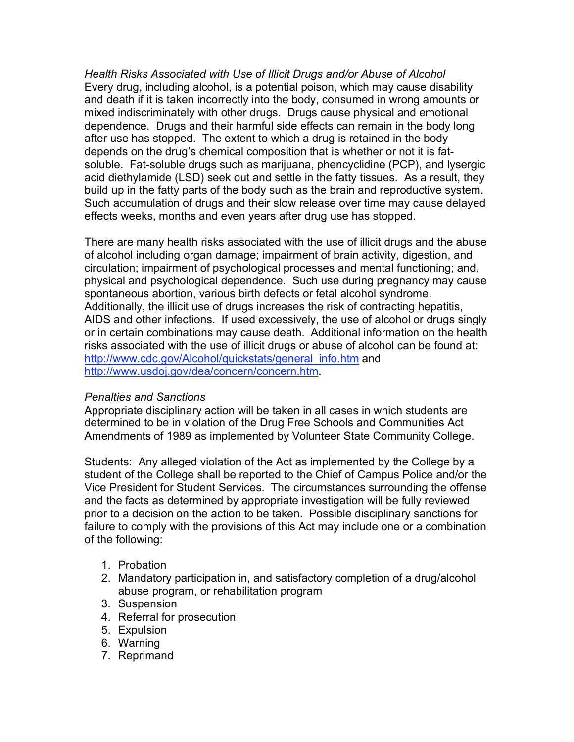*Health Risks Associated with Use of Illicit Drugs and/or Abuse of Alcohol* Every drug, including alcohol, is a potential poison, which may cause disability and death if it is taken incorrectly into the body, consumed in wrong amounts or mixed indiscriminately with other drugs. Drugs cause physical and emotional dependence. Drugs and their harmful side effects can remain in the body long after use has stopped. The extent to which a drug is retained in the body depends on the drug's chemical composition that is whether or not it is fatsoluble. Fat-soluble drugs such as marijuana, phencyclidine (PCP), and lysergic acid diethylamide (LSD) seek out and settle in the fatty tissues. As a result, they build up in the fatty parts of the body such as the brain and reproductive system. Such accumulation of drugs and their slow release over time may cause delayed effects weeks, months and even years after drug use has stopped.

There are many health risks associated with the use of illicit drugs and the abuse of alcohol including organ damage; impairment of brain activity, digestion, and circulation; impairment of psychological processes and mental functioning; and, physical and psychological dependence. Such use during pregnancy may cause spontaneous abortion, various birth defects or fetal alcohol syndrome. Additionally, the illicit use of drugs increases the risk of contracting hepatitis, AIDS and other infections. If used excessively, the use of alcohol or drugs singly or in certain combinations may cause death. Additional information on the health risks associated with the use of illicit drugs or abuse of alcohol can be found at: http://www.cdc.gov/Alcohol/quickstats/general\_info.htm and http://www.usdoj.gov/dea/concern/concern.htm.

## *Penalties and Sanctions*

Appropriate disciplinary action will be taken in all cases in which students are determined to be in violation of the Drug Free Schools and Communities Act Amendments of 1989 as implemented by Volunteer State Community College.

Students: Any alleged violation of the Act as implemented by the College by a student of the College shall be reported to the Chief of Campus Police and/or the Vice President for Student Services. The circumstances surrounding the offense and the facts as determined by appropriate investigation will be fully reviewed prior to a decision on the action to be taken. Possible disciplinary sanctions for failure to comply with the provisions of this Act may include one or a combination of the following:

- 1. Probation
- 2. Mandatory participation in, and satisfactory completion of a drug/alcohol abuse program, or rehabilitation program
- 3. Suspension
- 4. Referral for prosecution
- 5. Expulsion
- 6. Warning
- 7. Reprimand